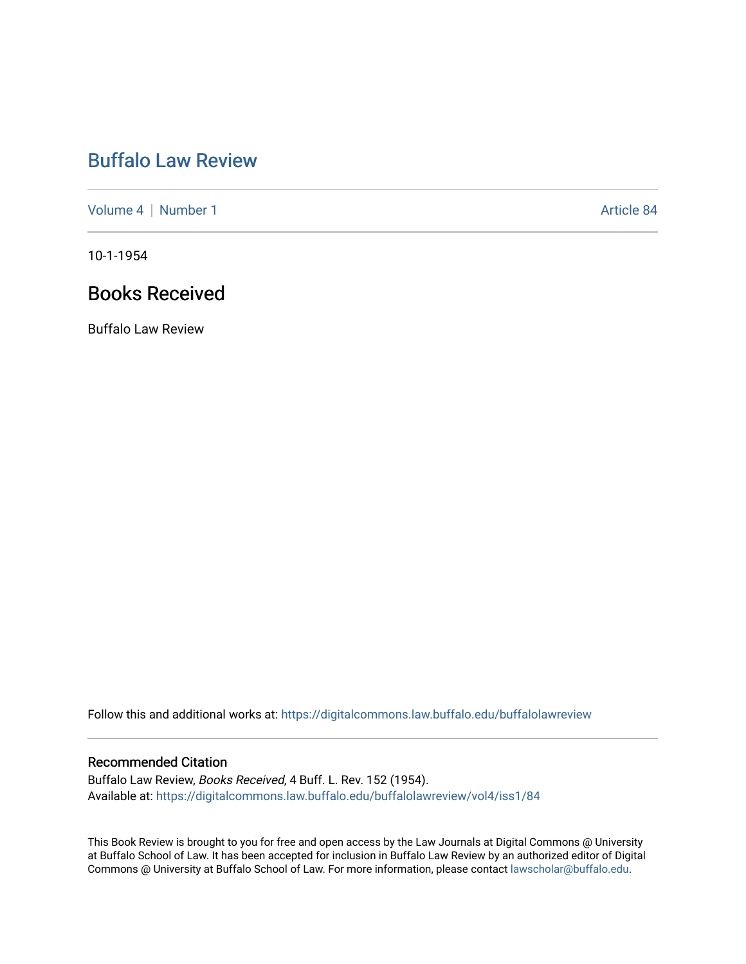## [Buffalo Law Review](https://digitalcommons.law.buffalo.edu/buffalolawreview)

[Volume 4](https://digitalcommons.law.buffalo.edu/buffalolawreview/vol4) | [Number 1](https://digitalcommons.law.buffalo.edu/buffalolawreview/vol4/iss1) Article 84

10-1-1954

## Books Received

Buffalo Law Review

Follow this and additional works at: [https://digitalcommons.law.buffalo.edu/buffalolawreview](https://digitalcommons.law.buffalo.edu/buffalolawreview?utm_source=digitalcommons.law.buffalo.edu%2Fbuffalolawreview%2Fvol4%2Fiss1%2F84&utm_medium=PDF&utm_campaign=PDFCoverPages) 

## Recommended Citation

Buffalo Law Review, Books Received, 4 Buff. L. Rev. 152 (1954). Available at: [https://digitalcommons.law.buffalo.edu/buffalolawreview/vol4/iss1/84](https://digitalcommons.law.buffalo.edu/buffalolawreview/vol4/iss1/84?utm_source=digitalcommons.law.buffalo.edu%2Fbuffalolawreview%2Fvol4%2Fiss1%2F84&utm_medium=PDF&utm_campaign=PDFCoverPages) 

This Book Review is brought to you for free and open access by the Law Journals at Digital Commons @ University at Buffalo School of Law. It has been accepted for inclusion in Buffalo Law Review by an authorized editor of Digital Commons @ University at Buffalo School of Law. For more information, please contact [lawscholar@buffalo.edu](mailto:lawscholar@buffalo.edu).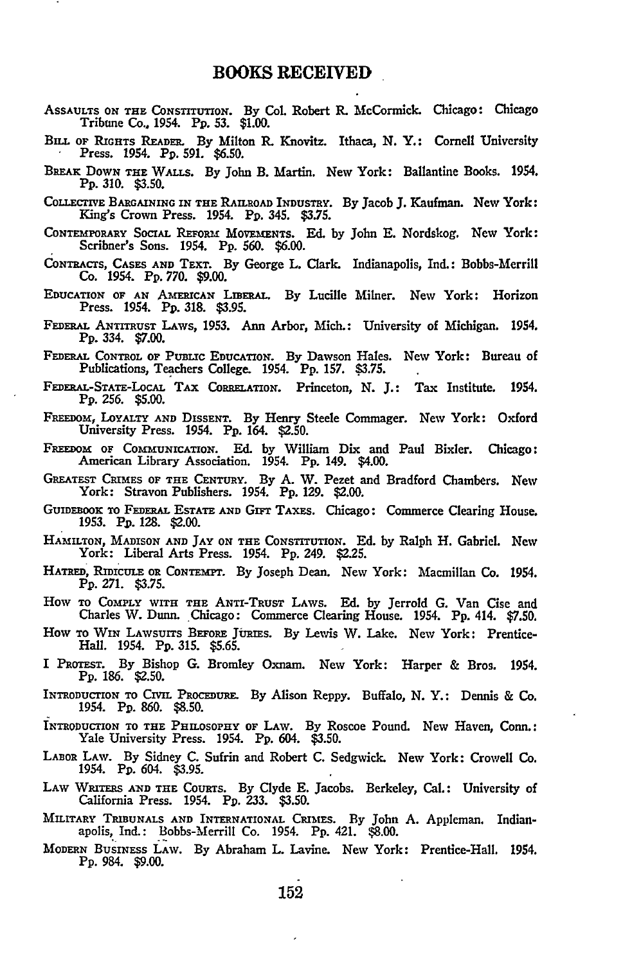- **ASSAULTS ON** THE **CONSTITUTION. By** Col. Robert R. McCormick. Chicago: Chicago Tribune Co., 1954. **Pp. 53. \$1.00.**
- **BiLL OF RIGHTS** READER. **By** Milton R. Knovitz. Ithaca, **N.** Y.: Cornell University Press. 1954. **Pp. 591. \$6.50.**
- BRAnx DOWN THE WALLS. **By** John B. Martin. New York: Ballantine Books. 1954. **Pp. 310. \$3.50.**
- COLLECrIVE BARGAINING IN THE **RAILROAD** INDUSTRY. **By** Jacob **J.** Kaufman. New York: King's Crown Press. 1954. **Pp.** 345. **\$3.75.**
- CONTEMPORARY SOCIAL REFORM MOVEMENTS. **Ed. by** John **E.** Nordskog. New York: Scribner's Sons. 1954. **Pp. 560. \$6.00.**
- CONTRACTS, **CASES AND** TEXT. **By** George L. Clark. Indianapolis, **Ind.:** Bobbs-Merrill Co. 1954. **Pp. 770. \$9.00.**
- EDUCATION OF AN AMERICAN LmERAL. **By** Lucille Milner. New York: Horizon Press. 1954. **Pp. 318. \$3.95.**
- **FEDERAL** ANTITRUST LAWS, **1953.** Ann Arbor, Mich.: University of Michigan. 1954. **Pp.** 334. **\$7.00.**
- **FEm.L** CONTROL **OF** PuBLic EDUCATION. **By** Dawson Hales. New York: Bureau of Publications, Teachers College. 1954. **Pp. 157. \$3.75.**
- **FEDEaAL-STATE-LOCAL TAx** CoRELATION. Princeton, **N. J.:** Tax Institute. 1954. **Pp.** 256. **\$5.00.**
- **FREEDOM,** LOYALTY **AND** DISSENT. **By** Henry Steele Commager. New York: Oxford University Press. 1954. **Pp.** 164. **\$2.50.**
- **FREEDoM** OF COMMUNICATION. **Ed. by** William Dix and Paul Bixler. Chicago: American Library Association. 1954. **Pp.** 149. **\$4.00.**
- **GREATEST** CRIMES **OF** THE CENTURY. **By A.** W. Pezet and Bradford Chambers. New York: Stravon Publishers. 1954. **Pp. 129.** \$2.00.
- GUIDEBOOK TO FEDERAL ESTATE AND GIFT TAXES. Chicago: Commerce Clearing House. **1953. Pp. 128.** \$2.00.
- **HA** MILTON, **MADISON AND** JAY **ON** THE CONSTITUTION. **Ed. by** Ralph H. Gabriel. New York: Liberal Arts Press. 1954. **Pp.** 249. **\$2.25.**
- HATRED, RIDICULE OR CONTEMPT. **By** Joseph Dean. New York: Macmillan Co. 1954. **Pp. 271. \$3.75.**
- How TO COMPLY WITH THE ANT-TRUST LAWS. **Ed. by** Jerrold **G.** Van Cise and Charles W. Dunn. Chicago: Commerce Clearing House. 1954. **Pp.** 414. **\$7.50.**
- How TO **WIN LAWSUITS** BEFORE JURIEs. **By** Lewis W. Lake. New York: Prentice-Hall. 1954. **Pp. 315. \$5.65.**
- I **PROTEST. By** Bishop **G.** Bromley Oxnam. New York: Harper **&** Bros. 1954. **Pp. 186. \$2.50.**
- INTRODUCTION TO **CIVIL** PROCEDURE. **By** Alison Reppy. Buffalo, **N.** Y.: Dennis **&** Co. 1954. Pp. **860. \$8.50.**
- INTRODUCTION TO **THE** PHILOSOPHY OF LAW. By Roscoe Pound. New Haven, Conn.: Yale University Press. 1954. **Pp.** 604. **\$3.50.**
- LABOR **LAW. By** Sidney **C.** Sufrin and Robert **C.** Sedgwick. New York: Crowell Co. 1954. **Pp.** 604. **\$3.95.**
- **LAw WRITERS AND** THE **COURTS. By** Clyde **E.** Jacobs. Berkeley, **Cal.:** University of California Press. 1954. **Pp. 233. \$3.50.**
- MILITARY **TRIBUNALS AND** INTERNATIONAL CRIMES. **By** John **A.** Appleman. Indianapolis, Ind.: Bobbs-Merrill Co. 1954. **Pp.** 421. **\$8.00.**
- MODERN **BUSINESS LAW. By** Abraham L. Lavine. New York: Prentice-Hall. 1954. **Pp.** 984. **\$9.00.**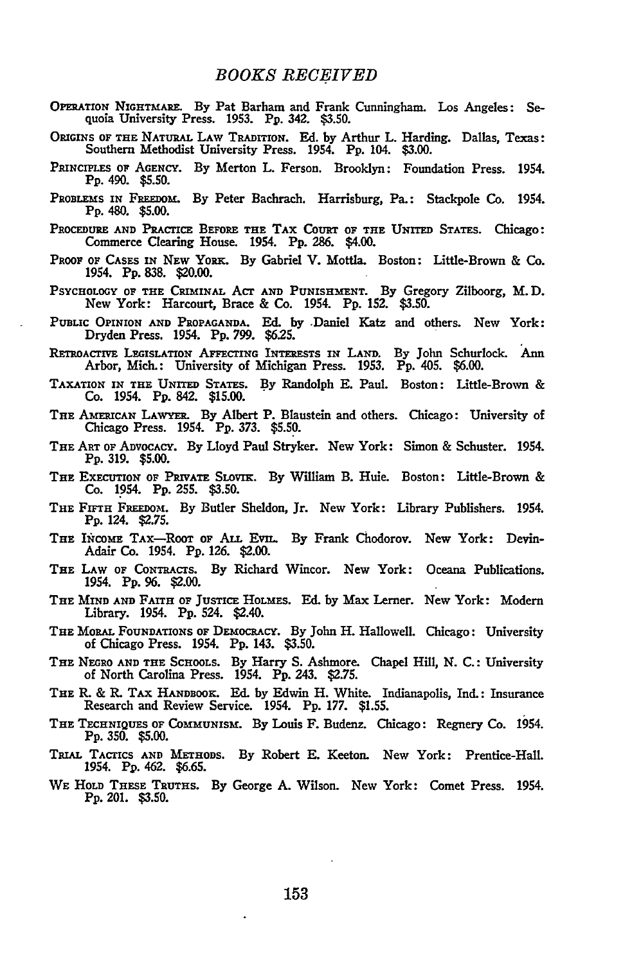- **OPERATION NIGHTMARE. By** Pat Barham and Frank Cunningham. Los Angeles: Sequoia University Press. **1953.** Pp. 342. **\$3.50.**
- **ORIGINS OF** THE **NATURAL LAW TRADITION. Ed. by** Arthur L. Harding. Dallas, Texas: Southern Methodist University Press. 1954. **Pp.** 104. **\$3.00.**
- **PRINCIPLES OF** AGENCY. **By** Merton L. Ferson. Brooklyn: Foundation Press. 1954. **Pp.** 490. **\$5.50.**
- PROBLEMS IN FREEDOM. By Peter Bachrach. Harrisburg, Pa.: Stackpole Co. 1954. Pp. 480. **\$5.00.**
- PROCEDURE **AND** PRACTICE BEFORE **THE** TAx CouRT OF **THE UNITED STATES.** Chicago: Commerce Clearing House. 1954. **Pp. 286.** \$4.00.
- **PROOF** OF CASES **IN** NEW YoRK. **By** Gabriel V. **Mottla.** Boston: Little-Brown & **Co.** 1954. **Pp. 838.** \$20.00.
- **PSYCHOLOGY OF THE CRIMINAL** ACT **AND PUNISHMENT. By** Gregory Zilboorg, M.D. New York: Harcourt, Brace **&** Co. 1954. **Pp. 152. \$3.50.**
- **PUBLIC** OPINION **AND PROPAGANDA. Ed. by** .Daniel Katz and others. New York: Dryden Press. 1954. **Pp. 799. \$625.**
- RETROAcrIVE LEGISLATION AFFECTING INTERESTS IN **LAND. By** John Schurlock. **Ann** Arbor, Mich.: University of Michigan Press. **1953. Pp.** 405. **\$6.00.**
- **TAXATION IN THE UNITED STATES.** By Randolph **E.** Paul. Boston: Little-Brown & Co. 1954. **Pp.** 842. **\$15.00.**
- THE **AMERICAN LAWYER. By** Albert P. Blaustein and others. Chicago: University of Chicago Press. 1954. **Pp. 373. \$5.50.**
- **THE** ART OF ADVOCACY. **By** Lloyd Paul Stryker. New York: Simon & Schuster. 1954. **Pp. 319. \$5.00.**
- THE ExE=IoN OF **PRIvATE** SLovIK. **By** William B. Huie. Boston: Little-Brown **&** Co. 1954. **Pp.** 255. **\$3.50.**
- **THE FIFTH** FREEDOM. **By** Butler Sheldon, Jr. New York: Library Publishers. 1954. **Pp.** 124. **\$2.75.**
- **THE INCOME** TAX-RooT **OF ALL** EvIL. **By** Frank **Chodorov. New York: Devin-**Adair Co. 1954. **Pp. 126.** \$2.00.
- **THE LAW** OF **CONTRACTS. By** Richard Wincor. New York: Oceana Publications. 1954. **Pp. 96.** \$2.00.
- THE MIND **AND** FAITH OF JUSTICE **HOLMES. Ed. by** Max Lerner. New York: Modem Library. 1954. Pp. 524. \$2.40.
- **THE** M RAL **FOUNDATIONS** OF **DEMOCRACY. By** John H. Hallowell. Chicago: University **of Chicago Press.** 1954. **Pp.** 143. **\$3.50.**
- **THE NEGRO AND THE SCHOOLS. By** Harry **S.** Ashmore. Chapel Hill, **N. C.:** University of North Carolina Press. 1954. **Pp.** 243. \$2.75.
- THE R. & R. **TAX HANDBOOK.** Ed. **by** Edwin H. White. Indianapolis, **Ind.:** Insurance Research and Review Service. 1954. Pp. **177.** \$1.55.
- THE TEcHNIQUES OF **COMMUNISM. By** Louis F. Budenz. Chicago: Regnery Co. 1954. **Pp. 350. \$5.00.**
- **TRIAL TACTICS AND METHODS. By** Robert **E.** Keeton. New York: Prentice-Hall. 1954. **P9.** 462. **\$6.65.**
- **WE HOLD THESE TRUTHS. By** George **A.** Wilson. New York: Comet Press. 1954. **Pp.** 201. **\$3.50.**